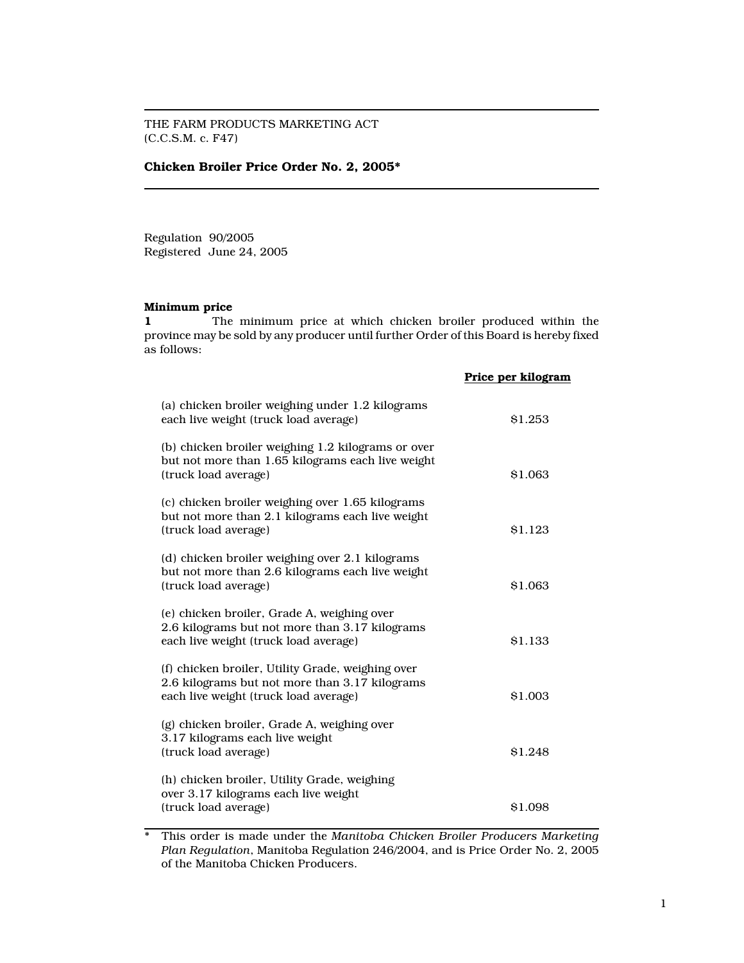THE FARM PRODUCTS MARKETING ACT (C.C.S.M. c. F47)

### Chicken Broiler Price Order No. 2, 2005\*

Regulation 90/2005 Registered June 24, 2005

### Minimum price

1 The minimum price at which chicken broiler produced within the province may be sold by any producer until further Order of this Board is hereby fixed as follows:

|                                                                                                                                              | Price per kilogram |
|----------------------------------------------------------------------------------------------------------------------------------------------|--------------------|
| (a) chicken broiler weighing under 1.2 kilograms<br>each live weight (truck load average)                                                    | \$1.253            |
| (b) chicken broiler weighing 1.2 kilograms or over<br>but not more than 1.65 kilograms each live weight<br>(truck load average)              | \$1.063            |
| (c) chicken broiler weighing over 1.65 kilograms<br>but not more than 2.1 kilograms each live weight<br>(truck load average)                 | \$1.123            |
| (d) chicken broiler weighing over 2.1 kilograms<br>but not more than 2.6 kilograms each live weight<br>(truck load average)                  | \$1.063            |
| (e) chicken broiler, Grade A, weighing over<br>2.6 kilograms but not more than 3.17 kilograms<br>each live weight (truck load average)       | \$1.133            |
| (f) chicken broiler, Utility Grade, weighing over<br>2.6 kilograms but not more than 3.17 kilograms<br>each live weight (truck load average) | \$1.003            |
| (g) chicken broiler, Grade A, weighing over<br>3.17 kilograms each live weight<br>(truck load average)                                       | \$1.248            |
| (h) chicken broiler, Utility Grade, weighing<br>over 3.17 kilograms each live weight<br>(truck load average)                                 | \$1.098            |

\* This order is made under the Manitoba Chicken Broiler Producers Marketing Plan Regulation, Manitoba Regulation 246/2004, and is Price Order No. 2, 2005 of the Manitoba Chicken Producers.